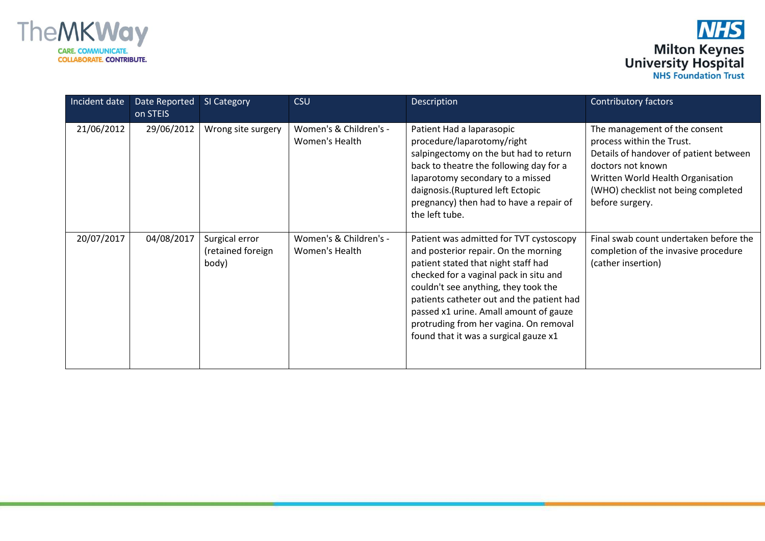



| Incident date | Date Reported<br>on STEIS | SI Category                                  | <b>CSU</b>                               | Description                                                                                                                                                                                                                                                                                                                                                                        | <b>Contributory factors</b>                                                                                                                                                                                              |
|---------------|---------------------------|----------------------------------------------|------------------------------------------|------------------------------------------------------------------------------------------------------------------------------------------------------------------------------------------------------------------------------------------------------------------------------------------------------------------------------------------------------------------------------------|--------------------------------------------------------------------------------------------------------------------------------------------------------------------------------------------------------------------------|
| 21/06/2012    | 29/06/2012                | Wrong site surgery                           | Women's & Children's -<br>Women's Health | Patient Had a laparasopic<br>procedure/laparotomy/right<br>salpingectomy on the but had to return<br>back to theatre the following day for a<br>laparotomy secondary to a missed<br>daignosis.(Ruptured left Ectopic<br>pregnancy) then had to have a repair of<br>the left tube.                                                                                                  | The management of the consent<br>process within the Trust.<br>Details of handover of patient between<br>doctors not known<br>Written World Health Organisation<br>(WHO) checklist not being completed<br>before surgery. |
| 20/07/2017    | 04/08/2017                | Surgical error<br>(retained foreign<br>body) | Women's & Children's -<br>Women's Health | Patient was admitted for TVT cystoscopy<br>and posterior repair. On the morning<br>patient stated that night staff had<br>checked for a vaginal pack in situ and<br>couldn't see anything, they took the<br>patients catheter out and the patient had<br>passed x1 urine. Amall amount of gauze<br>protruding from her vagina. On removal<br>found that it was a surgical gauze x1 | Final swab count undertaken before the<br>completion of the invasive procedure<br>(cather insertion)                                                                                                                     |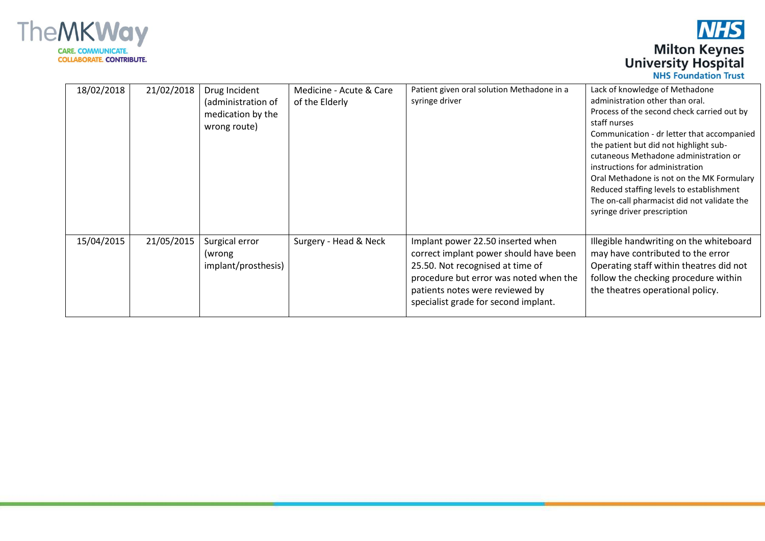

| 18/02/2018 | 21/02/2018 | Drug Incident<br>(administration of<br>medication by the<br>wrong route) | Medicine - Acute & Care<br>of the Elderly | Patient given oral solution Methadone in a<br>syringe driver                                                                                                                                                                         | Lack of knowledge of Methadone<br>administration other than oral.<br>Process of the second check carried out by<br>staff nurses<br>Communication - dr letter that accompanied<br>the patient but did not highlight sub-<br>cutaneous Methadone administration or<br>instructions for administration<br>Oral Methadone is not on the MK Formulary<br>Reduced staffing levels to establishment<br>The on-call pharmacist did not validate the<br>syringe driver prescription |
|------------|------------|--------------------------------------------------------------------------|-------------------------------------------|--------------------------------------------------------------------------------------------------------------------------------------------------------------------------------------------------------------------------------------|----------------------------------------------------------------------------------------------------------------------------------------------------------------------------------------------------------------------------------------------------------------------------------------------------------------------------------------------------------------------------------------------------------------------------------------------------------------------------|
| 15/04/2015 | 21/05/2015 | Surgical error<br>(wrong)<br>implant/prosthesis)                         | Surgery - Head & Neck                     | Implant power 22.50 inserted when<br>correct implant power should have been<br>25.50. Not recognised at time of<br>procedure but error was noted when the<br>patients notes were reviewed by<br>specialist grade for second implant. | Illegible handwriting on the whiteboard<br>may have contributed to the error<br>Operating staff within theatres did not<br>follow the checking procedure within<br>the theatres operational policy.                                                                                                                                                                                                                                                                        |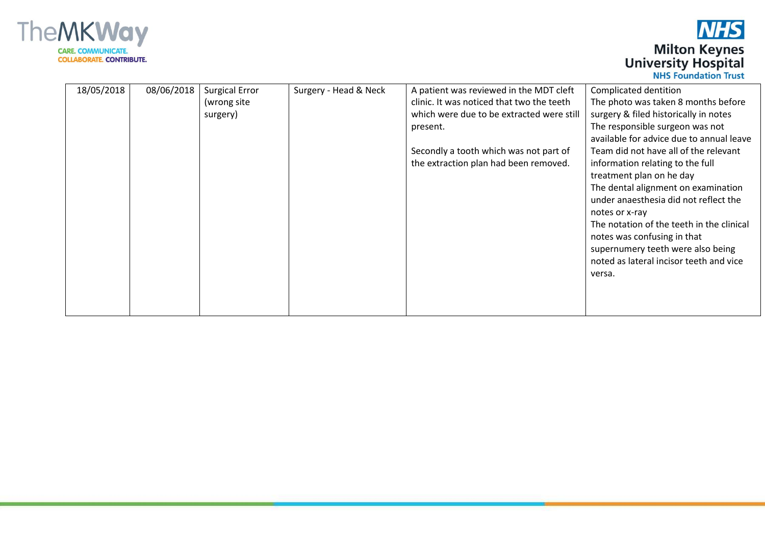

| 18/05/2018<br>08/06/2018<br><b>Surgical Error</b><br>Surgery - Head & Neck<br>Complicated dentition<br>A patient was reviewed in the MDT cleft<br>clinic. It was noticed that two the teeth<br>The photo was taken 8 months before<br>(wrong site<br>which were due to be extracted were still<br>surgery & filed historically in notes<br>surgery)<br>The responsible surgeon was not<br>present.<br>available for advice due to annual leave<br>Secondly a tooth which was not part of<br>Team did not have all of the relevant<br>the extraction plan had been removed.<br>information relating to the full<br>treatment plan on he day<br>The dental alignment on examination<br>under anaesthesia did not reflect the<br>notes or x-ray<br>The notation of the teeth in the clinical<br>notes was confusing in that<br>supernumery teeth were also being<br>noted as lateral incisor teeth and vice<br>versa. |  |  |  |
|--------------------------------------------------------------------------------------------------------------------------------------------------------------------------------------------------------------------------------------------------------------------------------------------------------------------------------------------------------------------------------------------------------------------------------------------------------------------------------------------------------------------------------------------------------------------------------------------------------------------------------------------------------------------------------------------------------------------------------------------------------------------------------------------------------------------------------------------------------------------------------------------------------------------|--|--|--|
|                                                                                                                                                                                                                                                                                                                                                                                                                                                                                                                                                                                                                                                                                                                                                                                                                                                                                                                    |  |  |  |
|                                                                                                                                                                                                                                                                                                                                                                                                                                                                                                                                                                                                                                                                                                                                                                                                                                                                                                                    |  |  |  |
|                                                                                                                                                                                                                                                                                                                                                                                                                                                                                                                                                                                                                                                                                                                                                                                                                                                                                                                    |  |  |  |
|                                                                                                                                                                                                                                                                                                                                                                                                                                                                                                                                                                                                                                                                                                                                                                                                                                                                                                                    |  |  |  |
|                                                                                                                                                                                                                                                                                                                                                                                                                                                                                                                                                                                                                                                                                                                                                                                                                                                                                                                    |  |  |  |
|                                                                                                                                                                                                                                                                                                                                                                                                                                                                                                                                                                                                                                                                                                                                                                                                                                                                                                                    |  |  |  |
|                                                                                                                                                                                                                                                                                                                                                                                                                                                                                                                                                                                                                                                                                                                                                                                                                                                                                                                    |  |  |  |
|                                                                                                                                                                                                                                                                                                                                                                                                                                                                                                                                                                                                                                                                                                                                                                                                                                                                                                                    |  |  |  |
|                                                                                                                                                                                                                                                                                                                                                                                                                                                                                                                                                                                                                                                                                                                                                                                                                                                                                                                    |  |  |  |
|                                                                                                                                                                                                                                                                                                                                                                                                                                                                                                                                                                                                                                                                                                                                                                                                                                                                                                                    |  |  |  |
|                                                                                                                                                                                                                                                                                                                                                                                                                                                                                                                                                                                                                                                                                                                                                                                                                                                                                                                    |  |  |  |
|                                                                                                                                                                                                                                                                                                                                                                                                                                                                                                                                                                                                                                                                                                                                                                                                                                                                                                                    |  |  |  |
|                                                                                                                                                                                                                                                                                                                                                                                                                                                                                                                                                                                                                                                                                                                                                                                                                                                                                                                    |  |  |  |
|                                                                                                                                                                                                                                                                                                                                                                                                                                                                                                                                                                                                                                                                                                                                                                                                                                                                                                                    |  |  |  |
|                                                                                                                                                                                                                                                                                                                                                                                                                                                                                                                                                                                                                                                                                                                                                                                                                                                                                                                    |  |  |  |
|                                                                                                                                                                                                                                                                                                                                                                                                                                                                                                                                                                                                                                                                                                                                                                                                                                                                                                                    |  |  |  |
|                                                                                                                                                                                                                                                                                                                                                                                                                                                                                                                                                                                                                                                                                                                                                                                                                                                                                                                    |  |  |  |
|                                                                                                                                                                                                                                                                                                                                                                                                                                                                                                                                                                                                                                                                                                                                                                                                                                                                                                                    |  |  |  |
|                                                                                                                                                                                                                                                                                                                                                                                                                                                                                                                                                                                                                                                                                                                                                                                                                                                                                                                    |  |  |  |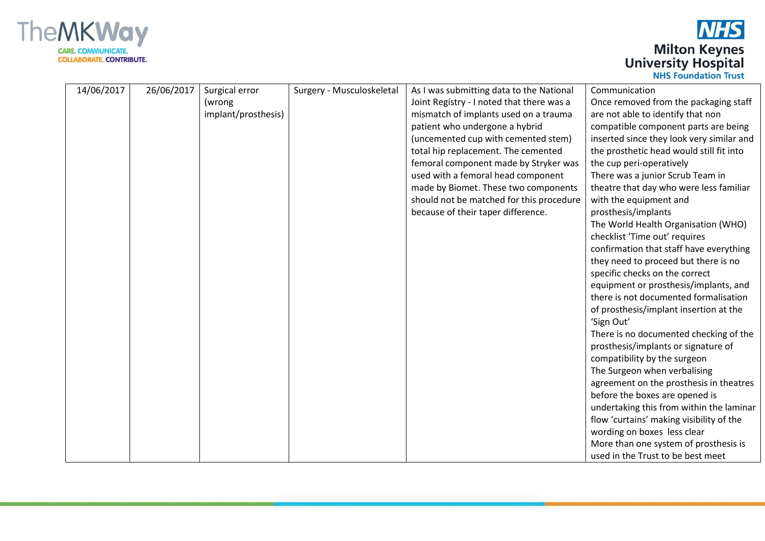

| 14/06/2017 | 26/06/2017 | Surgical error<br>(wrong<br>implant/prosthesis) | Surgery - Musculoskeletal | As I was submitting data to the National<br>Joint Registry - I noted that there was a<br>mismatch of implants used on a trauma<br>patient who undergone a hybrid<br>(uncemented cup with cemented stem)<br>total hip replacement. The cemented<br>femoral component made by Stryker was<br>used with a femoral head component<br>made by Biomet. These two components<br>should not be matched for this procedure<br>because of their taper difference. | Communication<br>Once removed from the packaging staff<br>are not able to identify that non<br>compatible component parts are being<br>inserted since they look very similar and<br>the prosthetic head would still fit into<br>the cup peri-operatively<br>There was a junior Scrub Team in<br>theatre that day who were less familiar<br>with the equipment and<br>prosthesis/implants<br>The World Health Organisation (WHO)<br>checklist 'Time out' requires<br>confirmation that staff have everything<br>they need to proceed but there is no<br>specific checks on the correct<br>equipment or prosthesis/implants, and<br>there is not documented formalisation<br>of prosthesis/implant insertion at the<br>'Sign Out'<br>There is no documented checking of the<br>prosthesis/implants or signature of<br>compatibility by the surgeon<br>The Surgeon when verbalising<br>agreement on the prosthesis in theatres<br>before the boxes are opened is<br>undertaking this from within the laminar<br>flow 'curtains' making visibility of the |
|------------|------------|-------------------------------------------------|---------------------------|---------------------------------------------------------------------------------------------------------------------------------------------------------------------------------------------------------------------------------------------------------------------------------------------------------------------------------------------------------------------------------------------------------------------------------------------------------|-------------------------------------------------------------------------------------------------------------------------------------------------------------------------------------------------------------------------------------------------------------------------------------------------------------------------------------------------------------------------------------------------------------------------------------------------------------------------------------------------------------------------------------------------------------------------------------------------------------------------------------------------------------------------------------------------------------------------------------------------------------------------------------------------------------------------------------------------------------------------------------------------------------------------------------------------------------------------------------------------------------------------------------------------------|
|            |            |                                                 |                           |                                                                                                                                                                                                                                                                                                                                                                                                                                                         | wording on boxes less clear<br>More than one system of prosthesis is<br>used in the Trust to be best meet                                                                                                                                                                                                                                                                                                                                                                                                                                                                                                                                                                                                                                                                                                                                                                                                                                                                                                                                             |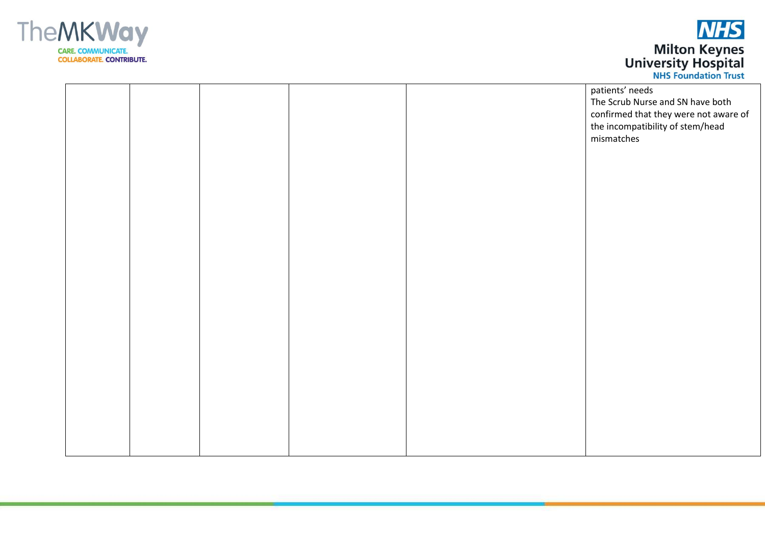



|  |  |  | patients' needs                       |
|--|--|--|---------------------------------------|
|  |  |  | The Scrub Nurse and SN have both      |
|  |  |  |                                       |
|  |  |  | confirmed that they were not aware of |
|  |  |  | the incompatibility of stem/head      |
|  |  |  | mismatches                            |
|  |  |  |                                       |
|  |  |  |                                       |
|  |  |  |                                       |
|  |  |  |                                       |
|  |  |  |                                       |
|  |  |  |                                       |
|  |  |  |                                       |
|  |  |  |                                       |
|  |  |  |                                       |
|  |  |  |                                       |
|  |  |  |                                       |
|  |  |  |                                       |
|  |  |  |                                       |
|  |  |  |                                       |
|  |  |  |                                       |
|  |  |  |                                       |
|  |  |  |                                       |
|  |  |  |                                       |
|  |  |  |                                       |
|  |  |  |                                       |
|  |  |  |                                       |
|  |  |  |                                       |
|  |  |  |                                       |
|  |  |  |                                       |
|  |  |  |                                       |
|  |  |  |                                       |
|  |  |  |                                       |
|  |  |  |                                       |
|  |  |  |                                       |
|  |  |  |                                       |
|  |  |  |                                       |
|  |  |  |                                       |
|  |  |  |                                       |
|  |  |  |                                       |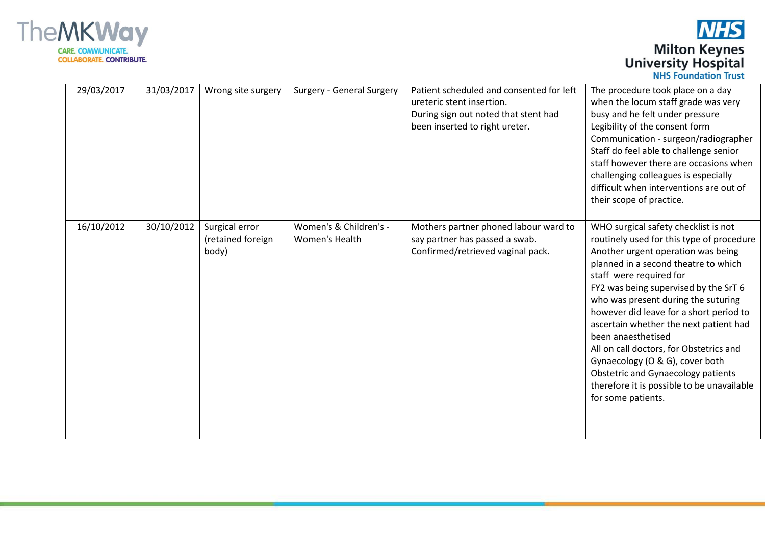

**NHS Milton Keynes**<br>University Hospital

|            |            |                                              |                                          |                                                                                                                                                 | <b>INIIJI UUHUALIVII HUJU</b>                                                                                                                                                                                                                                                                                                                                                                                                                                                                                                                                                 |
|------------|------------|----------------------------------------------|------------------------------------------|-------------------------------------------------------------------------------------------------------------------------------------------------|-------------------------------------------------------------------------------------------------------------------------------------------------------------------------------------------------------------------------------------------------------------------------------------------------------------------------------------------------------------------------------------------------------------------------------------------------------------------------------------------------------------------------------------------------------------------------------|
| 29/03/2017 | 31/03/2017 | Wrong site surgery                           | Surgery - General Surgery                | Patient scheduled and consented for left<br>ureteric stent insertion.<br>During sign out noted that stent had<br>been inserted to right ureter. | The procedure took place on a day<br>when the locum staff grade was very<br>busy and he felt under pressure<br>Legibility of the consent form<br>Communication - surgeon/radiographer<br>Staff do feel able to challenge senior<br>staff however there are occasions when<br>challenging colleagues is especially<br>difficult when interventions are out of<br>their scope of practice.                                                                                                                                                                                      |
| 16/10/2012 | 30/10/2012 | Surgical error<br>(retained foreign<br>body) | Women's & Children's -<br>Women's Health | Mothers partner phoned labour ward to<br>say partner has passed a swab.<br>Confirmed/retrieved vaginal pack.                                    | WHO surgical safety checklist is not<br>routinely used for this type of procedure<br>Another urgent operation was being<br>planned in a second theatre to which<br>staff were required for<br>FY2 was being supervised by the SrT 6<br>who was present during the suturing<br>however did leave for a short period to<br>ascertain whether the next patient had<br>been anaesthetised<br>All on call doctors, for Obstetrics and<br>Gynaecology (O & G), cover both<br>Obstetric and Gynaecology patients<br>therefore it is possible to be unavailable<br>for some patients. |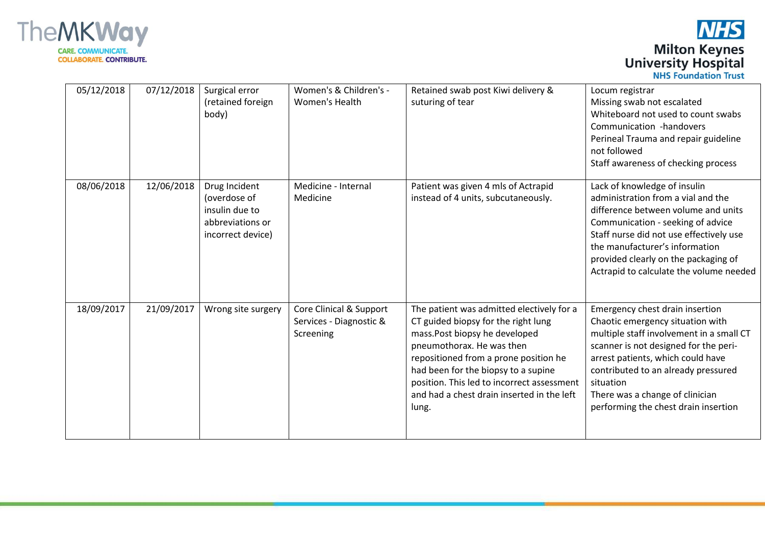

| 05/12/2018 | 07/12/2018 | Surgical error<br>(retained foreign<br>body)                                             | Women's & Children's -<br>Women's Health                        | Retained swab post Kiwi delivery &<br>suturing of tear                                                                                                                                                                                                                                                                               | Locum registrar<br>Missing swab not escalated<br>Whiteboard not used to count swabs<br>Communication -handovers<br>Perineal Trauma and repair guideline<br>not followed<br>Staff awareness of checking process                                                                                                               |
|------------|------------|------------------------------------------------------------------------------------------|-----------------------------------------------------------------|--------------------------------------------------------------------------------------------------------------------------------------------------------------------------------------------------------------------------------------------------------------------------------------------------------------------------------------|------------------------------------------------------------------------------------------------------------------------------------------------------------------------------------------------------------------------------------------------------------------------------------------------------------------------------|
| 08/06/2018 | 12/06/2018 | Drug Incident<br>(overdose of<br>insulin due to<br>abbreviations or<br>incorrect device) | Medicine - Internal<br>Medicine                                 | Patient was given 4 mls of Actrapid<br>instead of 4 units, subcutaneously.                                                                                                                                                                                                                                                           | Lack of knowledge of insulin<br>administration from a vial and the<br>difference between volume and units<br>Communication - seeking of advice<br>Staff nurse did not use effectively use<br>the manufacturer's information<br>provided clearly on the packaging of<br>Actrapid to calculate the volume needed               |
| 18/09/2017 | 21/09/2017 | Wrong site surgery                                                                       | Core Clinical & Support<br>Services - Diagnostic &<br>Screening | The patient was admitted electively for a<br>CT guided biopsy for the right lung<br>mass. Post biopsy he developed<br>pneumothorax. He was then<br>repositioned from a prone position he<br>had been for the biopsy to a supine<br>position. This led to incorrect assessment<br>and had a chest drain inserted in the left<br>lung. | Emergency chest drain insertion<br>Chaotic emergency situation with<br>multiple staff involvement in a small CT<br>scanner is not designed for the peri-<br>arrest patients, which could have<br>contributed to an already pressured<br>situation<br>There was a change of clinician<br>performing the chest drain insertion |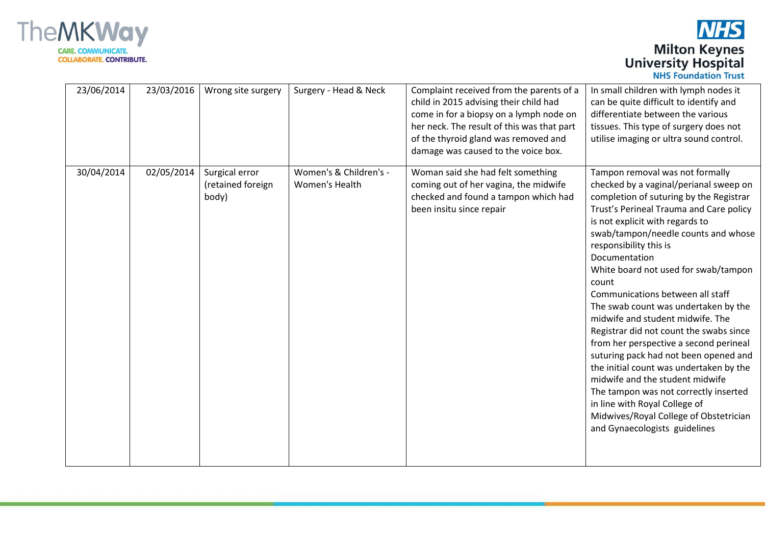

| 23/06/2014 | 23/03/2016 | Wrong site surgery                           | Surgery - Head & Neck                    | Complaint received from the parents of a<br>child in 2015 advising their child had<br>come in for a biopsy on a lymph node on<br>her neck. The result of this was that part<br>of the thyroid gland was removed and<br>damage was caused to the voice box. | In small children with lymph nodes it<br>can be quite difficult to identify and<br>differentiate between the various<br>tissues. This type of surgery does not<br>utilise imaging or ultra sound control.                                                                                                                                                                                                                                                                                                                                                                                                                                                                                                                                                                                                              |
|------------|------------|----------------------------------------------|------------------------------------------|------------------------------------------------------------------------------------------------------------------------------------------------------------------------------------------------------------------------------------------------------------|------------------------------------------------------------------------------------------------------------------------------------------------------------------------------------------------------------------------------------------------------------------------------------------------------------------------------------------------------------------------------------------------------------------------------------------------------------------------------------------------------------------------------------------------------------------------------------------------------------------------------------------------------------------------------------------------------------------------------------------------------------------------------------------------------------------------|
| 30/04/2014 | 02/05/2014 | Surgical error<br>(retained foreign<br>body) | Women's & Children's -<br>Women's Health | Woman said she had felt something<br>coming out of her vagina, the midwife<br>checked and found a tampon which had<br>been insitu since repair                                                                                                             | Tampon removal was not formally<br>checked by a vaginal/perianal sweep on<br>completion of suturing by the Registrar<br>Trust's Perineal Trauma and Care policy<br>is not explicit with regards to<br>swab/tampon/needle counts and whose<br>responsibility this is<br>Documentation<br>White board not used for swab/tampon<br>count<br>Communications between all staff<br>The swab count was undertaken by the<br>midwife and student midwife. The<br>Registrar did not count the swabs since<br>from her perspective a second perineal<br>suturing pack had not been opened and<br>the initial count was undertaken by the<br>midwife and the student midwife<br>The tampon was not correctly inserted<br>in line with Royal College of<br>Midwives/Royal College of Obstetrician<br>and Gynaecologists guidelines |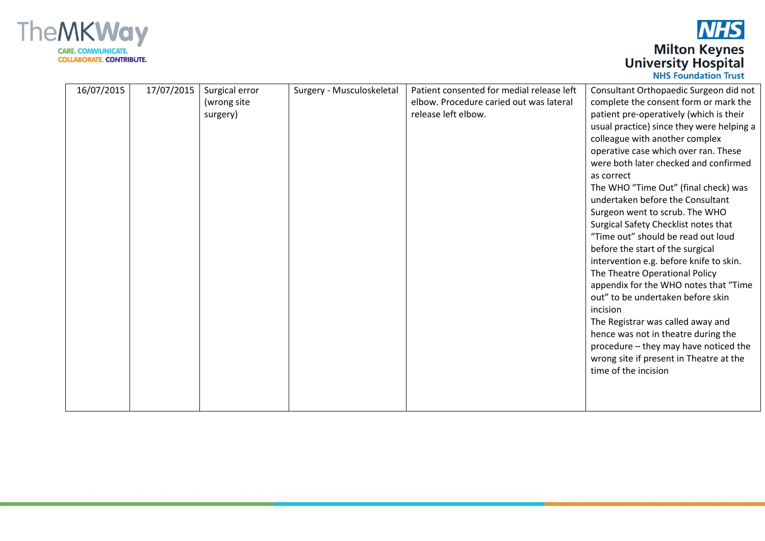

| 16/07/2015 | 17/07/2015 | Surgical error | Surgery - Musculoskeletal | Patient consented for medial release left | Consultant Orthopaedic Surgeon did not    |
|------------|------------|----------------|---------------------------|-------------------------------------------|-------------------------------------------|
|            |            | (wrong site    |                           | elbow. Procedure caried out was lateral   | complete the consent form or mark the     |
|            |            | surgery)       |                           | release left elbow.                       | patient pre-operatively (which is their   |
|            |            |                |                           |                                           | usual practice) since they were helping a |
|            |            |                |                           |                                           | colleague with another complex            |
|            |            |                |                           |                                           | operative case which over ran. These      |
|            |            |                |                           |                                           | were both later checked and confirmed     |
|            |            |                |                           |                                           | as correct                                |
|            |            |                |                           |                                           | The WHO "Time Out" (final check) was      |
|            |            |                |                           |                                           | undertaken before the Consultant          |
|            |            |                |                           |                                           | Surgeon went to scrub. The WHO            |
|            |            |                |                           |                                           | Surgical Safety Checklist notes that      |
|            |            |                |                           |                                           | "Time out" should be read out loud        |
|            |            |                |                           |                                           | before the start of the surgical          |
|            |            |                |                           |                                           | intervention e.g. before knife to skin.   |
|            |            |                |                           |                                           | The Theatre Operational Policy            |
|            |            |                |                           |                                           | appendix for the WHO notes that "Time     |
|            |            |                |                           |                                           | out" to be undertaken before skin         |
|            |            |                |                           |                                           | incision                                  |
|            |            |                |                           |                                           | The Registrar was called away and         |
|            |            |                |                           |                                           | hence was not in theatre during the       |
|            |            |                |                           |                                           | procedure - they may have noticed the     |
|            |            |                |                           |                                           | wrong site if present in Theatre at the   |
|            |            |                |                           |                                           | time of the incision                      |
|            |            |                |                           |                                           |                                           |
|            |            |                |                           |                                           |                                           |
|            |            |                |                           |                                           |                                           |
|            |            |                |                           |                                           |                                           |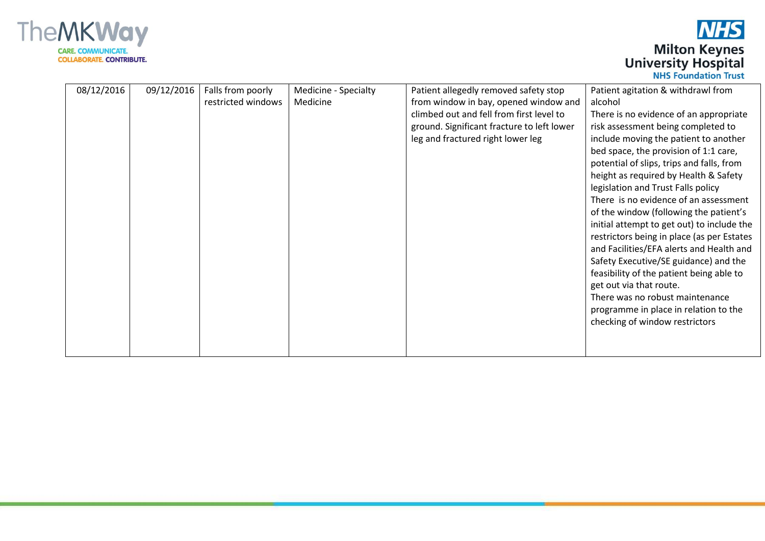

| 08/12/2016 | 09/12/2016 | Falls from poorly<br>restricted windows | Medicine - Specialty<br>Medicine | Patient allegedly removed safety stop<br>from window in bay, opened window and<br>climbed out and fell from first level to<br>ground. Significant fracture to left lower<br>leg and fractured right lower leg | Patient agitation & withdrawl from<br>alcohol<br>There is no evidence of an appropriate<br>risk assessment being completed to<br>include moving the patient to another<br>bed space, the provision of 1:1 care,<br>potential of slips, trips and falls, from<br>height as required by Health & Safety<br>legislation and Trust Falls policy<br>There is no evidence of an assessment<br>of the window (following the patient's<br>initial attempt to get out) to include the<br>restrictors being in place (as per Estates<br>and Facilities/EFA alerts and Health and<br>Safety Executive/SE guidance) and the<br>feasibility of the patient being able to<br>get out via that route.<br>There was no robust maintenance<br>programme in place in relation to the<br>checking of window restrictors |
|------------|------------|-----------------------------------------|----------------------------------|---------------------------------------------------------------------------------------------------------------------------------------------------------------------------------------------------------------|------------------------------------------------------------------------------------------------------------------------------------------------------------------------------------------------------------------------------------------------------------------------------------------------------------------------------------------------------------------------------------------------------------------------------------------------------------------------------------------------------------------------------------------------------------------------------------------------------------------------------------------------------------------------------------------------------------------------------------------------------------------------------------------------------|
|            |            |                                         |                                  |                                                                                                                                                                                                               |                                                                                                                                                                                                                                                                                                                                                                                                                                                                                                                                                                                                                                                                                                                                                                                                      |